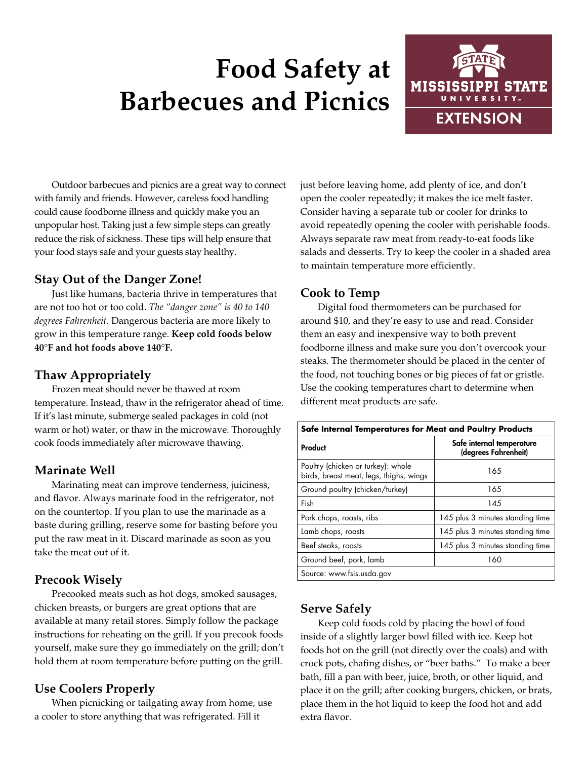# **Food Safety at Barbecues and Picnics**



Outdoor barbecues and picnics are a great way to connect with family and friends. However, careless food handling could cause foodborne illness and quickly make you an unpopular host. Taking just a few simple steps can greatly reduce the risk of sickness. These tips will help ensure that your food stays safe and your guests stay healthy.

#### **Stay Out of the Danger Zone!**

Just like humans, bacteria thrive in temperatures that are not too hot or too cold. *The "danger zone" is 40 to 140 degrees Fahrenheit.* Dangerous bacteria are more likely to grow in this temperature range. **Keep cold foods below 40**°**F and hot foods above 140**°**F.**

#### **Thaw Appropriately**

Frozen meat should never be thawed at room temperature. Instead, thaw in the refrigerator ahead of time. If it's last minute, submerge sealed packages in cold (not warm or hot) water, or thaw in the microwave. Thoroughly cook foods immediately after microwave thawing.

#### **Marinate Well**

Marinating meat can improve tenderness, juiciness, and flavor. Always marinate food in the refrigerator, not on the countertop. If you plan to use the marinade as a baste during grilling, reserve some for basting before you put the raw meat in it. Discard marinade as soon as you take the meat out of it.

# **Precook Wisely**

Precooked meats such as hot dogs, smoked sausages, chicken breasts, or burgers are great options that are available at many retail stores. Simply follow the package instructions for reheating on the grill. If you precook foods yourself, make sure they go immediately on the grill; don't hold them at room temperature before putting on the grill.

# **Use Coolers Properly**

When picnicking or tailgating away from home, use a cooler to store anything that was refrigerated. Fill it

just before leaving home, add plenty of ice, and don't open the cooler repeatedly; it makes the ice melt faster. Consider having a separate tub or cooler for drinks to avoid repeatedly opening the cooler with perishable foods. Always separate raw meat from ready-to-eat foods like salads and desserts. Try to keep the cooler in a shaded area to maintain temperature more efficiently.

#### **Cook to Temp**

Digital food thermometers can be purchased for around \$10, and they're easy to use and read. Consider them an easy and inexpensive way to both prevent foodborne illness and make sure you don't overcook your steaks. The thermometer should be placed in the center of the food, not touching bones or big pieces of fat or gristle. Use the cooking temperatures chart to determine when different meat products are safe.

| Safe Internal Temperatures for Meat and Poultry Products                      |                                                   |
|-------------------------------------------------------------------------------|---------------------------------------------------|
| Product                                                                       | Safe internal temperature<br>(degrees Fahrenheit) |
| Poultry (chicken or turkey): whole<br>birds, breast meat, legs, thighs, wings | 165                                               |
| Ground poultry (chicken/turkey)                                               | 165                                               |
| Fish                                                                          | 145                                               |
| Pork chops, roasts, ribs                                                      | 145 plus 3 minutes standing time                  |
| Lamb chops, roasts                                                            | 145 plus 3 minutes standing time                  |
| Beef steaks, roasts                                                           | 145 plus 3 minutes standing time                  |
| Ground beef, pork, lamb                                                       | 160                                               |
| Source: www.fsis.usda.gov                                                     |                                                   |

# **Serve Safely**

Keep cold foods cold by placing the bowl of food inside of a slightly larger bowl filled with ice. Keep hot foods hot on the grill (not directly over the coals) and with crock pots, chafing dishes, or "beer baths." To make a beer bath, fill a pan with beer, juice, broth, or other liquid, and place it on the grill; after cooking burgers, chicken, or brats, place them in the hot liquid to keep the food hot and add extra flavor.